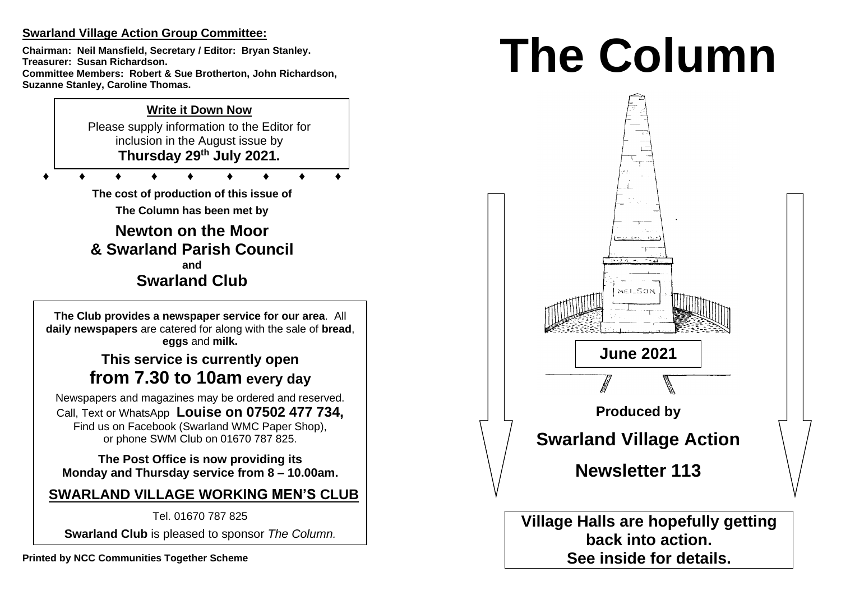## **Swarland Village Action Group Committee:**

**Chairman: Neil Mansfield, Secretary / Editor: Bryan Stanley. Treasurer: Susan Richardson. Committee Members: Robert & Sue Brotherton, John Richardson, Suzanne Stanley, Caroline Thomas.** 

## **Write it Down Now**

Please supply information to the Editor for inclusion in the August issue by **Thursday 29 th July 2021.** 

**♦ ♦ ♦ ♦ ♦ ♦ ♦ ♦ ♦**

**The cost of production of this issue of** 

**The Column has been met by**

**Newton on the Moor & Swarland Parish Council and Swarland Club**

**The Club provides a newspaper service for our area**. All **daily newspapers** are catered for along with the sale of **bread**, **eggs** and **milk.**

# **This service is currently open from 7.30 to 10am every day**

Newspapers and magazines may be ordered and reserved. Call, Text or WhatsApp **Louise on 07502 477 734,**  Find us on Facebook (Swarland WMC Paper Shop), or phone SWM Club on 01670 787 825.

**The Post Office is now providing its Monday and Thursday service from 8 – 10.00am.** 

**SWARLAND VILLAGE WORKING MEN'S CLUB**

Tel. 01670 787 825

**Swarland Club** is pleased to sponsor *The Column.*

# **The Column**

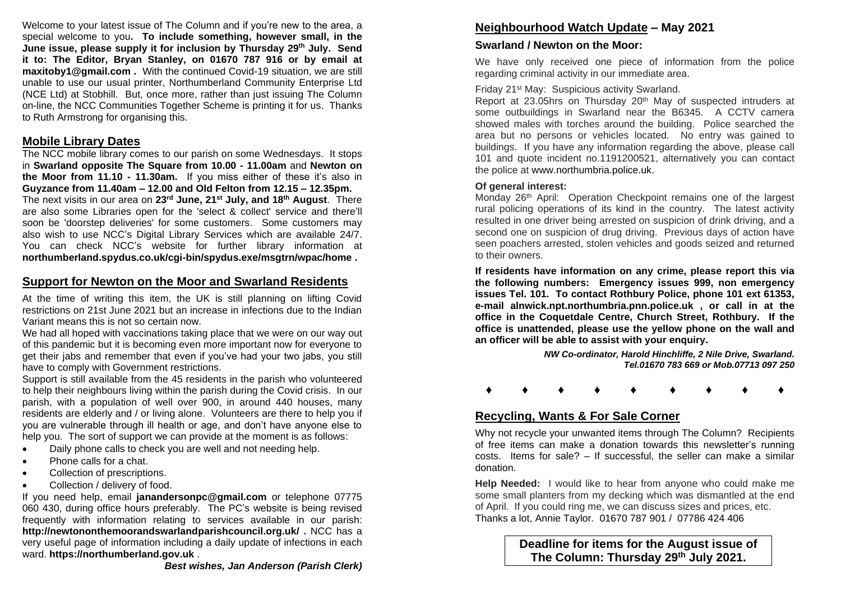Welcome to your latest issue of The Column and if you're new to the area, a special welcome to you**. To include something, however small, in the June issue, please supply it for inclusion by Thursday 29 th July. Send it to: The Editor, Bryan Stanley, on 01670 787 916 or by email at maxitoby1@gmail.com .** With the continued Covid-19 situation, we are still unable to use our usual printer, Northumberland Community Enterprise Ltd (NCE Ltd) at Stobhill. But, once more, rather than just issuing The Column on-line, the NCC Communities Together Scheme is printing it for us. Thanks to Ruth Armstrong for organising this.

## **Mobile Library Dates**

The NCC mobile library comes to our parish on some Wednesdays. It stops in **Swarland opposite The Square from 10.00 - 11.00am** and **Newton on the Moor from 11.10 - 11.30am.** If you miss either of these it's also in **Guyzance from 11.40am – 12.00 and Old Felton from 12.15 – 12.35pm.**  The next visits in our area on **23rd June, 21st July, and 18th August**. There are also some Libraries open for the 'select & collect' service and there'll soon be 'doorstep deliveries' for some customers. Some customers may also wish to use NCC's Digital Library Services which are available 24/7. You can check NCC's website for further library information at **northumberland.spydus.co.uk/cgi-bin/spydus.exe/msgtrn/wpac/home .**

## **Support for Newton on the Moor and Swarland Residents**

At the time of writing this item, the UK is still planning on lifting Covid restrictions on 21st June 2021 but an increase in infections due to the Indian Variant means this is not so certain now.

We had all hoped with vaccinations taking place that we were on our way out of this pandemic but it is becoming even more important now for everyone to get their jabs and remember that even if you've had your two jabs, you still have to comply with Government restrictions.

Support is still available from the 45 residents in the parish who volunteered to help their neighbours living within the parish during the Covid crisis. In our parish, with a population of well over 900, in around 440 houses, many residents are elderly and / or living alone. Volunteers are there to help you if you are vulnerable through ill health or age, and don't have anyone else to help you. The sort of support we can provide at the moment is as follows:

- Daily phone calls to check you are well and not needing help.
- Phone calls for a chat.
- Collection of prescriptions.
- Collection / delivery of food.

If you need help, email **janandersonpc@gmail.com** or telephone 07775 060 430, during office hours preferably. The PC's website is being revised frequently with information relating to services available in our parish: **http://newtononthemoorandswarlandparishcouncil.org.uk/ .** NCC has a very useful page of information including a daily update of infections in each ward. **https://northumberland.gov.uk** .

# **Neighbourhood Watch Update – May 2021**

## **Swarland / Newton on the Moor:**

We have only received one piece of information from the police regarding criminal activity in our immediate area.

## Friday 21st May: Suspicious activity Swarland.

Report at 23.05hrs on Thursday 20th May of suspected intruders at some outbuildings in Swarland near the B6345. A CCTV camera showed males with torches around the building. Police searched the area but no persons or vehicles located. No entry was gained to buildings. If you have any information regarding the above, please call 101 and quote incident no.1191200521, alternatively you can contact the police at www.northumbria.police.uk.

#### **Of general interest:**

Monday 26<sup>th</sup> April: Operation Checkpoint remains one of the largest rural policing operations of its kind in the country. The latest activity resulted in one driver being arrested on suspicion of drink driving, and a second one on suspicion of drug driving. Previous days of action have seen poachers arrested, stolen vehicles and goods seized and returned to their owners.

**If residents have information on any crime, please report this via the following numbers: Emergency issues 999, non emergency issues Tel. 101. To contact Rothbury Police, phone 101 ext 61353, e-mail alnwick.npt.northumbria.pnn.police.uk , or call in at the office in the Coquetdale Centre, Church Street, Rothbury. If the office is unattended, please use the yellow phone on the wall and an officer will be able to assist with your enquiry.** 

> *NW Co-ordinator, Harold Hinchliffe, 2 Nile Drive, Swarland. Tel.01670 783 669 or Mob.07713 097 250*

**♦ ♦ ♦ ♦ ♦ ♦ ♦ ♦ ♦**

## **Recycling, Wants & For Sale Corner**

Why not recycle your unwanted items through The Column? Recipients of free items can make a donation towards this newsletter's running costs. Items for sale? – If successful, the seller can make a similar donation.

**Help Needed:** I would like to hear from anyone who could make me some small planters from my decking which was dismantled at the end of April. If you could ring me, we can discuss sizes and prices, etc. Thanks a lot, Annie Taylor. 01670 787 901 / 07786 424 406

> **Deadline for items for the August issue of The Column: Thursday 29 th July 2021.**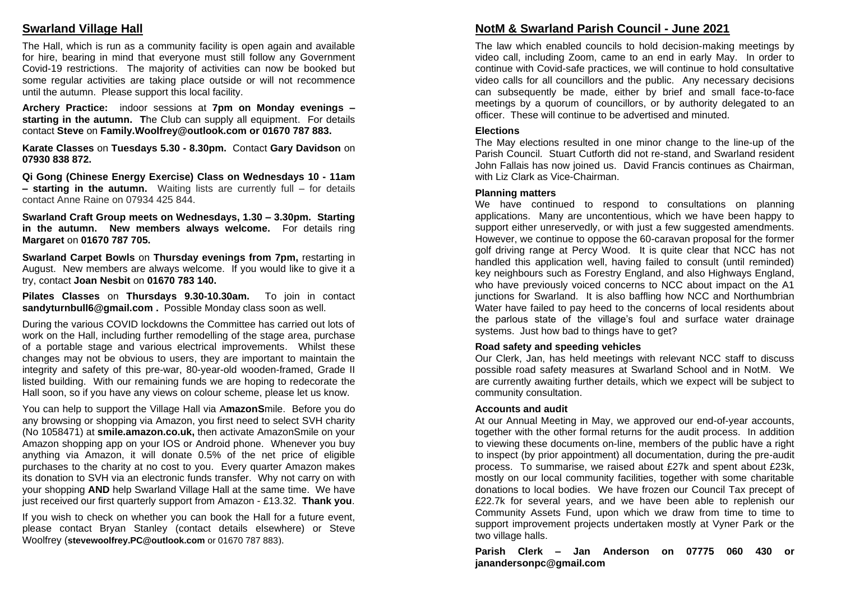## **Swarland Village Hall**

The Hall, which is run as a community facility is open again and available for hire, bearing in mind that everyone must still follow any Government Covid-19 restrictions. The majority of activities can now be booked but some regular activities are taking place outside or will not recommence until the autumn. Please support this local facility.

**Archery Practice:** indoor sessions at **7pm on Monday evenings – starting in the autumn. T**he Club can supply all equipment. For details contact **Steve** on **Family.Woolfrey@outlook.com or 01670 787 883.** 

**Karate Classes** on **Tuesdays 5.30 - 8.30pm.** Contact **Gary Davidson** on **07930 838 872.** 

**Qi Gong (Chinese Energy Exercise) Class on Wednesdays 10 - 11am – starting in the autumn.** Waiting lists are currently full – for details contact Anne Raine on 07934 425 844.

**Swarland Craft Group meets on Wednesdays, 1.30 – 3.30pm. Starting in the autumn. New members always welcome.** For details ring **Margaret** on **01670 787 705.** 

**Swarland Carpet Bowls** on **Thursday evenings from 7pm,** restarting in August. New members are always welcome. If you would like to give it a try, contact **Joan Nesbit** on **01670 783 140.** 

**Pilates Classes** on **Thursdays 9.30-10.30am.** To join in contact **sandyturnbull6@gmail.com .** Possible Monday class soon as well.

During the various COVID lockdowns the Committee has carried out lots of work on the Hall, including further remodelling of the stage area, purchase of a portable stage and various electrical improvements. Whilst these changes may not be obvious to users, they are important to maintain the integrity and safety of this pre-war, 80-year-old wooden-framed, Grade II listed building. With our remaining funds we are hoping to redecorate the Hall soon, so if you have any views on colour scheme, please let us know.

You can help to support the Village Hall via A**mazonS**mile. Before you do any browsing or shopping via Amazon, you first need to select SVH charity (No 1058471) at **smile.amazon.co.uk,** then activate AmazonSmile on your Amazon shopping app on your IOS or Android phone. Whenever you buy anything via Amazon, it will donate 0.5% of the net price of eligible purchases to the charity at no cost to you. Every quarter Amazon makes its donation to SVH via an electronic funds transfer. Why not carry on with your shopping **AND** help Swarland Village Hall at the same time. We have just received our first quarterly support from Amazon - £13.32. **Thank you**.

If you wish to check on whether you can book the Hall for a future event, please contact Bryan Stanley (contact details elsewhere) or Steve Woolfrey (**stevewoolfrey.PC@outlook.com** or 01670 787 883).

# **NotM & Swarland Parish Council - June 2021**

The law which enabled councils to hold decision-making meetings by video call, including Zoom, came to an end in early May. In order to continue with Covid-safe practices, we will continue to hold consultative video calls for all councillors and the public. Any necessary decisions can subsequently be made, either by brief and small face-to-face meetings by a quorum of councillors, or by authority delegated to an officer. These will continue to be advertised and minuted.

#### **Elections**

The May elections resulted in one minor change to the line-up of the Parish Council. Stuart Cutforth did not re-stand, and Swarland resident John Fallais has now joined us. David Francis continues as Chairman, with Liz Clark as Vice-Chairman.

#### **Planning matters**

We have continued to respond to consultations on planning applications. Many are uncontentious, which we have been happy to support either unreservedly, or with just a few suggested amendments. However, we continue to oppose the 60-caravan proposal for the former golf driving range at Percy Wood. It is quite clear that NCC has not handled this application well, having failed to consult (until reminded) key neighbours such as Forestry England, and also Highways England, who have previously voiced concerns to NCC about impact on the A1 junctions for Swarland. It is also baffling how NCC and Northumbrian Water have failed to pay heed to the concerns of local residents about the parlous state of the village's foul and surface water drainage systems. Just how bad to things have to get?

#### **Road safety and speeding vehicles**

Our Clerk, Jan, has held meetings with relevant NCC staff to discuss possible road safety measures at Swarland School and in NotM. We are currently awaiting further details, which we expect will be subject to community consultation.

#### **Accounts and audit**

At our Annual Meeting in May, we approved our end-of-year accounts, together with the other formal returns for the audit process. In addition to viewing these documents on-line, members of the public have a right to inspect (by prior appointment) all documentation, during the pre-audit process. To summarise, we raised about £27k and spent about £23k, mostly on our local community facilities, together with some charitable donations to local bodies. We have frozen our Council Tax precept of £22.7k for several years, and we have been able to replenish our Community Assets Fund, upon which we draw from time to time to support improvement projects undertaken mostly at Vyner Park or the two village halls.

**Parish Clerk – Jan Anderson on 07775 060 430 or janandersonpc@gmail.com**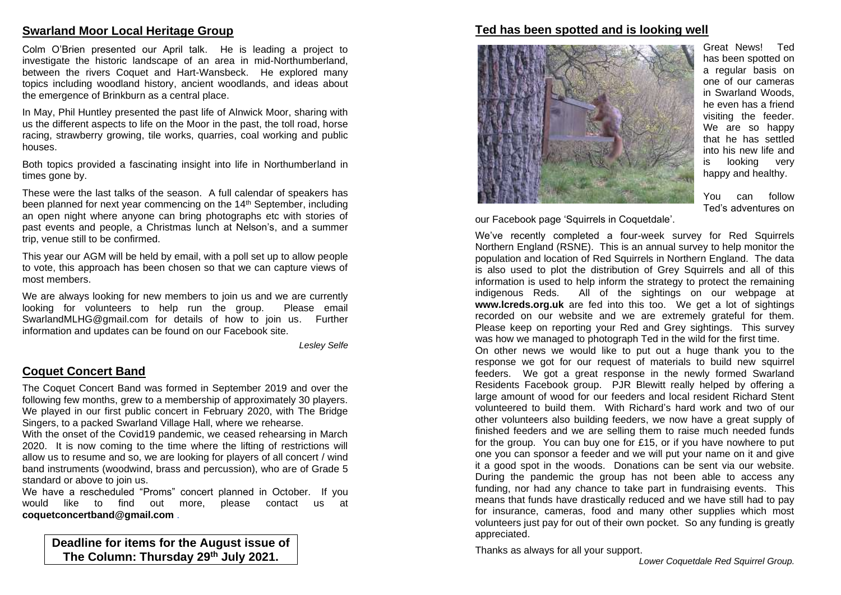## **Swarland Moor Local Heritage Group**

Colm O'Brien presented our April talk. He is leading a project to investigate the historic landscape of an area in mid-Northumberland, between the rivers Coquet and Hart-Wansbeck. He explored many topics including woodland history, ancient woodlands, and ideas about the emergence of Brinkburn as a central place.

In May, Phil Huntley presented the past life of Alnwick Moor, sharing with us the different aspects to life on the Moor in the past, the toll road, horse racing, strawberry growing, tile works, quarries, coal working and public houses.

Both topics provided a fascinating insight into life in Northumberland in times gone by.

These were the last talks of the season. A full calendar of speakers has been planned for next year commencing on the 14<sup>th</sup> September, including an open night where anyone can bring photographs etc with stories of past events and people, a Christmas lunch at Nelson's, and a summer trip, venue still to be confirmed.

This year our AGM will be held by email, with a poll set up to allow people to vote, this approach has been chosen so that we can capture views of most members.

We are always looking for new members to join us and we are currently looking for volunteers to help run the group. Please email SwarlandMLHG@gmail.com for details of how to join us. Further information and updates can be found on our Facebook site.

*Lesley Selfe*

## **Coquet Concert Band**

The Coquet Concert Band was formed in September 2019 and over the following few months, grew to a membership of approximately 30 players. We played in our first public concert in February 2020, with The Bridge Singers, to a packed Swarland Village Hall, where we rehearse.

With the onset of the Covid19 pandemic, we ceased rehearsing in March 2020. It is now coming to the time where the lifting of restrictions will allow us to resume and so, we are looking for players of all concert / wind band instruments (woodwind, brass and percussion), who are of Grade 5 standard or above to join us.

We have a rescheduled "Proms" concert planned in October. If you would like to find out more, please contact us at **coquetconcertband@gmail.com** .

**Deadline for items for the August issue of The Column: Thursday 29 th July 2021.**

#### **Ted has been spotted and is looking well**



Great News! Ted has been spotted on a regular basis on one of our cameras in Swarland Woods, he even has a friend visiting the feeder. We are so happy that he has settled into his new life and is looking very happy and healthy.

You can follow Ted's adventures on

our Facebook page 'Squirrels in Coquetdale'.

We've recently completed a four-week survey for Red Squirrels Northern England (RSNE). This is an annual survey to help monitor the population and location of Red Squirrels in Northern England. The data is also used to plot the distribution of Grey Squirrels and all of this information is used to help inform the strategy to protect the remaining indigenous Reds. All of the sightings on our webpage at **www.lcreds.org.uk** are fed into this too. We get a lot of sightings recorded on our website and we are extremely grateful for them. Please keep on reporting your Red and Grey sightings. This survey was how we managed to photograph Ted in the wild for the first time.

On other news we would like to put out a huge thank you to the response we got for our request of materials to build new squirrel feeders. We got a great response in the newly formed Swarland Residents Facebook group. PJR Blewitt really helped by offering a large amount of wood for our feeders and local resident Richard Stent volunteered to build them. With Richard's hard work and two of our other volunteers also building feeders, we now have a great supply of finished feeders and we are selling them to raise much needed funds for the group. You can buy one for £15, or if you have nowhere to put one you can sponsor a feeder and we will put your name on it and give it a good spot in the woods. Donations can be sent via our website. During the pandemic the group has not been able to access any funding, nor had any chance to take part in fundraising events. This means that funds have drastically reduced and we have still had to pay for insurance, cameras, food and many other supplies which most volunteers just pay for out of their own pocket. So any funding is greatly appreciated.

Thanks as always for all your support.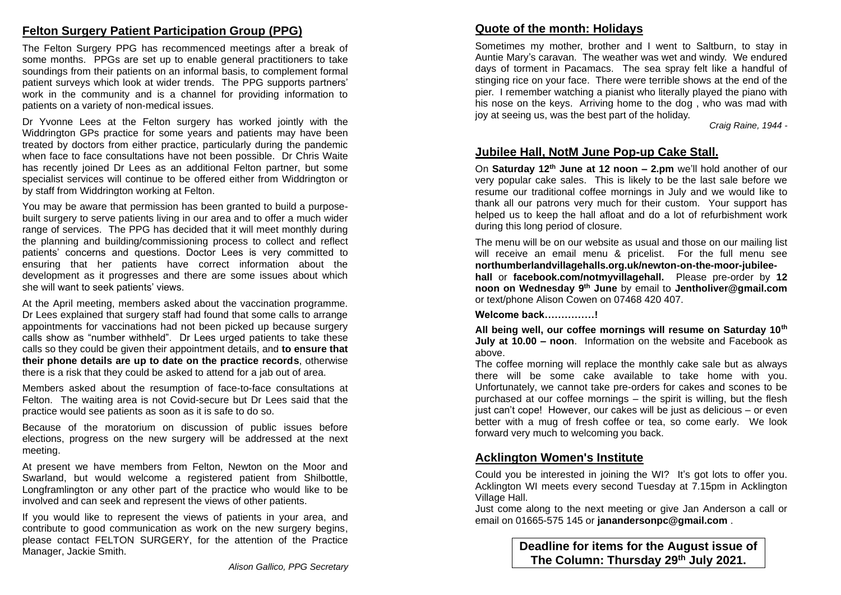## **Felton Surgery Patient Participation Group (PPG)**

The Felton Surgery PPG has recommenced meetings after a break of some months. PPGs are set up to enable general practitioners to take soundings from their patients on an informal basis, to complement formal patient surveys which look at wider trends. The PPG supports partners' work in the community and is a channel for providing information to patients on a variety of non-medical issues.

Dr Yvonne Lees at the Felton surgery has worked jointly with the Widdrington GPs practice for some years and patients may have been treated by doctors from either practice, particularly during the pandemic when face to face consultations have not been possible. Dr Chris Waite has recently joined Dr Lees as an additional Felton partner, but some specialist services will continue to be offered either from Widdrington or by staff from Widdrington working at Felton.

You may be aware that permission has been granted to build a purposebuilt surgery to serve patients living in our area and to offer a much wider range of services. The PPG has decided that it will meet monthly during the planning and building/commissioning process to collect and reflect patients' concerns and questions. Doctor Lees is very committed to ensuring that her patients have correct information about the development as it progresses and there are some issues about which she will want to seek patients' views.

At the April meeting, members asked about the vaccination programme. Dr Lees explained that surgery staff had found that some calls to arrange appointments for vaccinations had not been picked up because surgery calls show as "number withheld". Dr Lees urged patients to take these calls so they could be given their appointment details, and **to ensure that their phone details are up to date on the practice records**, otherwise there is a risk that they could be asked to attend for a jab out of area.

Members asked about the resumption of face-to-face consultations at Felton. The waiting area is not Covid-secure but Dr Lees said that the practice would see patients as soon as it is safe to do so.

Because of the moratorium on discussion of public issues before elections, progress on the new surgery will be addressed at the next meeting.

At present we have members from Felton, Newton on the Moor and Swarland, but would welcome a registered patient from Shilbottle, Longframlington or any other part of the practice who would like to be involved and can seek and represent the views of other patients.

If you would like to represent the views of patients in your area, and contribute to good communication as work on the new surgery begins, please contact FELTON SURGERY, for the attention of the Practice Manager, Jackie Smith.

Sometimes my mother, brother and I went to Saltburn, to stay in Auntie Mary's caravan. The weather was wet and windy. We endured days of torment in Pacamacs. The sea spray felt like a handful of stinging rice on your face. There were terrible shows at the end of the pier. I remember watching a pianist who literally played the piano with his nose on the keys. Arriving home to the dog , who was mad with joy at seeing us, was the best part of the holiday.

*Craig Raine, 1944 -*

## **Jubilee Hall, NotM June Pop-up Cake Stall.**

On **Saturday 12th June at 12 noon – 2.pm** we'll hold another of our very popular cake sales. This is likely to be the last sale before we resume our traditional coffee mornings in July and we would like to thank all our patrons very much for their custom. Your support has helped us to keep the hall afloat and do a lot of refurbishment work during this long period of closure.

The menu will be on our website as usual and those on our mailing list will receive an email menu & pricelist. For the full menu see **northumberlandvillagehalls.org.uk/newton-on-the-moor-jubileehall** or **facebook.com/notmyvillagehall.** Please pre-order by **12 noon on Wednesday 9th June** by email to **Jentholiver@gmail.com** or text/phone Alison Cowen on 07468 420 407.

**Welcome back……………!**

**All being well, our coffee mornings will resume on Saturday 10th July at 10.00 – noon**. Information on the website and Facebook as above.

The coffee morning will replace the monthly cake sale but as always there will be some cake available to take home with you. Unfortunately, we cannot take pre-orders for cakes and scones to be purchased at our coffee mornings – the spirit is willing, but the flesh just can't cope! However, our cakes will be just as delicious – or even better with a mug of fresh coffee or tea, so come early. We look forward very much to welcoming you back.

## **Acklington Women's Institute**

Could you be interested in joining the WI? It's got lots to offer you. Acklington WI meets every second Tuesday at 7.15pm in Acklington Village Hall.

Just come along to the next meeting or give Jan Anderson a call or email on 01665-575 145 or **janandersonpc@gmail.com** .

> **Deadline for items for the August issue of The Column: Thursday 29 th July 2021.**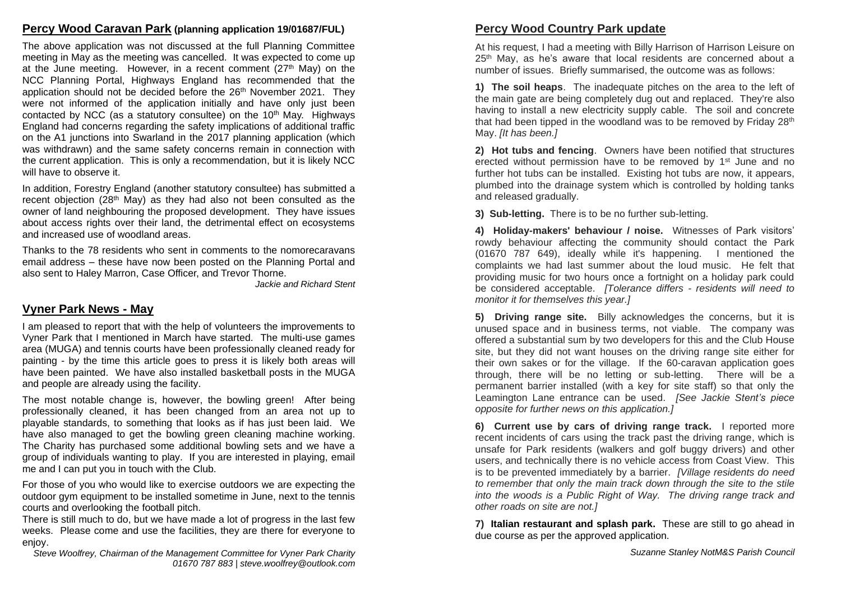### **Percy Wood Caravan Park (planning application 19/01687/FUL)**

The above application was not discussed at the full Planning Committee meeting in May as the meeting was cancelled. It was expected to come up at the June meeting. However, in a recent comment  $(27<sup>th</sup>$  May) on the NCC Planning Portal, Highways England has recommended that the application should not be decided before the 26th November 2021. They were not informed of the application initially and have only just been contacted by NCC (as a statutory consultee) on the  $10<sup>th</sup>$  May. Highways England had concerns regarding the safety implications of additional traffic on the A1 junctions into Swarland in the 2017 planning application (which was withdrawn) and the same safety concerns remain in connection with the current application. This is only a recommendation, but it is likely NCC will have to observe it.

In addition, Forestry England (another statutory consultee) has submitted a recent objection (28<sup>th</sup> May) as they had also not been consulted as the owner of land neighbouring the proposed development. They have issues about access rights over their land, the detrimental effect on ecosystems and increased use of woodland areas.

Thanks to the 78 residents who sent in comments to the nomorecaravans email address – these have now been posted on the Planning Portal and also sent to Haley Marron, Case Officer, and Trevor Thorne.

*Jackie and Richard Stent*

## **Vyner Park News - May**

I am pleased to report that with the help of volunteers the improvements to Vyner Park that I mentioned in March have started. The multi-use games area (MUGA) and tennis courts have been professionally cleaned ready for painting - by the time this article goes to press it is likely both areas will have been painted. We have also installed basketball posts in the MUGA and people are already using the facility.

The most notable change is, however, the bowling green! After being professionally cleaned, it has been changed from an area not up to playable standards, to something that looks as if has just been laid. We have also managed to get the bowling green cleaning machine working. The Charity has purchased some additional bowling sets and we have a group of individuals wanting to play. If you are interested in playing, email me and I can put you in touch with the Club.

For those of you who would like to exercise outdoors we are expecting the outdoor gym equipment to be installed sometime in June, next to the tennis courts and overlooking the football pitch.

There is still much to do, but we have made a lot of progress in the last few weeks. Please come and use the facilities, they are there for everyone to enjoy.

*Steve Woolfrey, Chairman of the Management Committee for Vyner Park Charity 01670 787 883 | steve.woolfrey@outlook.com*

## **Percy Wood Country Park update**

At his request, I had a meeting with Billy Harrison of Harrison Leisure on 25<sup>th</sup> May, as he's aware that local residents are concerned about a number of issues. Briefly summarised, the outcome was as follows:

**1) The soil heaps**. The inadequate pitches on the area to the left of the main gate are being completely dug out and replaced. They're also having to install a new electricity supply cable. The soil and concrete that had been tipped in the woodland was to be removed by Friday 28<sup>th</sup> May. *[It has been.]* 

**2) Hot tubs and fencing**. Owners have been notified that structures erected without permission have to be removed by 1<sup>st</sup> June and no further hot tubs can be installed. Existing hot tubs are now, it appears, plumbed into the drainage system which is controlled by holding tanks and released gradually.

**3) Sub-letting.** There is to be no further sub-letting.

**4) Holiday-makers' behaviour / noise.** Witnesses of Park visitors' rowdy behaviour affecting the community should contact the Park (01670 787 649), ideally while it's happening. I mentioned the complaints we had last summer about the loud music. He felt that providing music for two hours once a fortnight on a holiday park could be considered acceptable. *[Tolerance differs - residents will need to monitor it for themselves this year.]* 

**5) Driving range site.** Billy acknowledges the concerns, but it is unused space and in business terms, not viable. The company was offered a substantial sum by two developers for this and the Club House site, but they did not want houses on the driving range site either for their own sakes or for the village. If the 60-caravan application goes through, there will be no letting or sub-letting. There will be a permanent barrier installed (with a key for site staff) so that only the Leamington Lane entrance can be used. *[See Jackie Stent's piece opposite for further news on this application.]* 

**6) Current use by cars of driving range track.** I reported more recent incidents of cars using the track past the driving range, which is unsafe for Park residents (walkers and golf buggy drivers) and other users, and technically there is no vehicle access from Coast View. This is to be prevented immediately by a barrier. *[Village residents do need to remember that only the main track down through the site to the stile into the woods is a Public Right of Way. The driving range track and other roads on site are not.]* 

**7) Italian restaurant and splash park.** These are still to go ahead in due course as per the approved application.